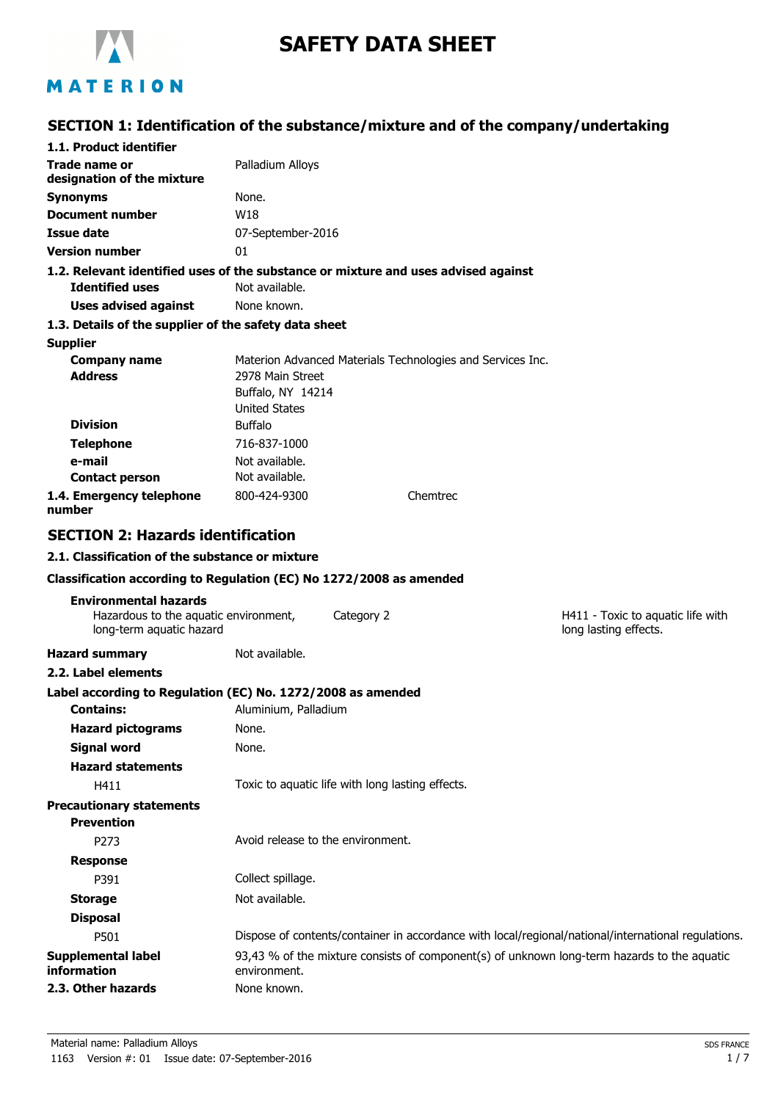

# **SAFETY DATA SHEET**

## MATERION

## **SECTION 1: Identification of the substance/mixture and of the company/undertaking**

| 1.1. Product identifier                                                                           |                                                               |          |                                                                                                     |
|---------------------------------------------------------------------------------------------------|---------------------------------------------------------------|----------|-----------------------------------------------------------------------------------------------------|
| Trade name or<br>designation of the mixture                                                       | Palladium Alloys                                              |          |                                                                                                     |
| <b>Synonyms</b>                                                                                   | None.                                                         |          |                                                                                                     |
| Document number                                                                                   | W18                                                           |          |                                                                                                     |
| Issue date                                                                                        | 07-September-2016                                             |          |                                                                                                     |
| <b>Version number</b>                                                                             | 01                                                            |          |                                                                                                     |
| 1.2. Relevant identified uses of the substance or mixture and uses advised against                |                                                               |          |                                                                                                     |
| <b>Identified uses</b>                                                                            | Not available.                                                |          |                                                                                                     |
| <b>Uses advised against</b>                                                                       | None known.                                                   |          |                                                                                                     |
| 1.3. Details of the supplier of the safety data sheet                                             |                                                               |          |                                                                                                     |
| <b>Supplier</b>                                                                                   |                                                               |          |                                                                                                     |
| <b>Company name</b>                                                                               | Materion Advanced Materials Technologies and Services Inc.    |          |                                                                                                     |
| <b>Address</b>                                                                                    | 2978 Main Street<br>Buffalo, NY 14214<br><b>United States</b> |          |                                                                                                     |
| <b>Division</b>                                                                                   | <b>Buffalo</b>                                                |          |                                                                                                     |
| <b>Telephone</b>                                                                                  | 716-837-1000                                                  |          |                                                                                                     |
| e-mail                                                                                            | Not available.                                                |          |                                                                                                     |
| <b>Contact person</b>                                                                             | Not available.                                                |          |                                                                                                     |
| 1.4. Emergency telephone<br>number                                                                | 800-424-9300                                                  | Chemtrec |                                                                                                     |
| <b>SECTION 2: Hazards identification</b>                                                          |                                                               |          |                                                                                                     |
| 2.1. Classification of the substance or mixture                                                   |                                                               |          |                                                                                                     |
| Classification according to Regulation (EC) No 1272/2008 as amended                               |                                                               |          |                                                                                                     |
|                                                                                                   |                                                               |          |                                                                                                     |
| <b>Environmental hazards</b><br>Hazardous to the aquatic environment,<br>long-term aquatic hazard | Category 2                                                    |          | H411 - Toxic to aquatic life with<br>long lasting effects.                                          |
| <b>Hazard summary</b>                                                                             | Not available.                                                |          |                                                                                                     |
| 2.2. Label elements                                                                               |                                                               |          |                                                                                                     |
|                                                                                                   |                                                               |          |                                                                                                     |
| Label according to Regulation (EC) No. 1272/2008 as amended<br><b>Contains:</b>                   | Aluminium, Palladium                                          |          |                                                                                                     |
| <b>Hazard pictograms</b>                                                                          | None.                                                         |          |                                                                                                     |
|                                                                                                   | None.                                                         |          |                                                                                                     |
| <b>Signal word</b>                                                                                |                                                               |          |                                                                                                     |
| <b>Hazard statements</b><br>H411                                                                  | Toxic to aquatic life with long lasting effects.              |          |                                                                                                     |
| <b>Precautionary statements</b>                                                                   |                                                               |          |                                                                                                     |
| <b>Prevention</b>                                                                                 |                                                               |          |                                                                                                     |
| P273                                                                                              | Avoid release to the environment.                             |          |                                                                                                     |
| <b>Response</b>                                                                                   |                                                               |          |                                                                                                     |
| P391                                                                                              | Collect spillage.                                             |          |                                                                                                     |
| <b>Storage</b>                                                                                    | Not available.                                                |          |                                                                                                     |
| <b>Disposal</b>                                                                                   |                                                               |          |                                                                                                     |
| P501                                                                                              |                                                               |          | Dispose of contents/container in accordance with local/regional/national/international regulations. |
| <b>Supplemental label</b><br>information<br>2.3. Other hazards                                    | environment.<br>None known.                                   |          | 93,43 % of the mixture consists of component(s) of unknown long-term hazards to the aquatic         |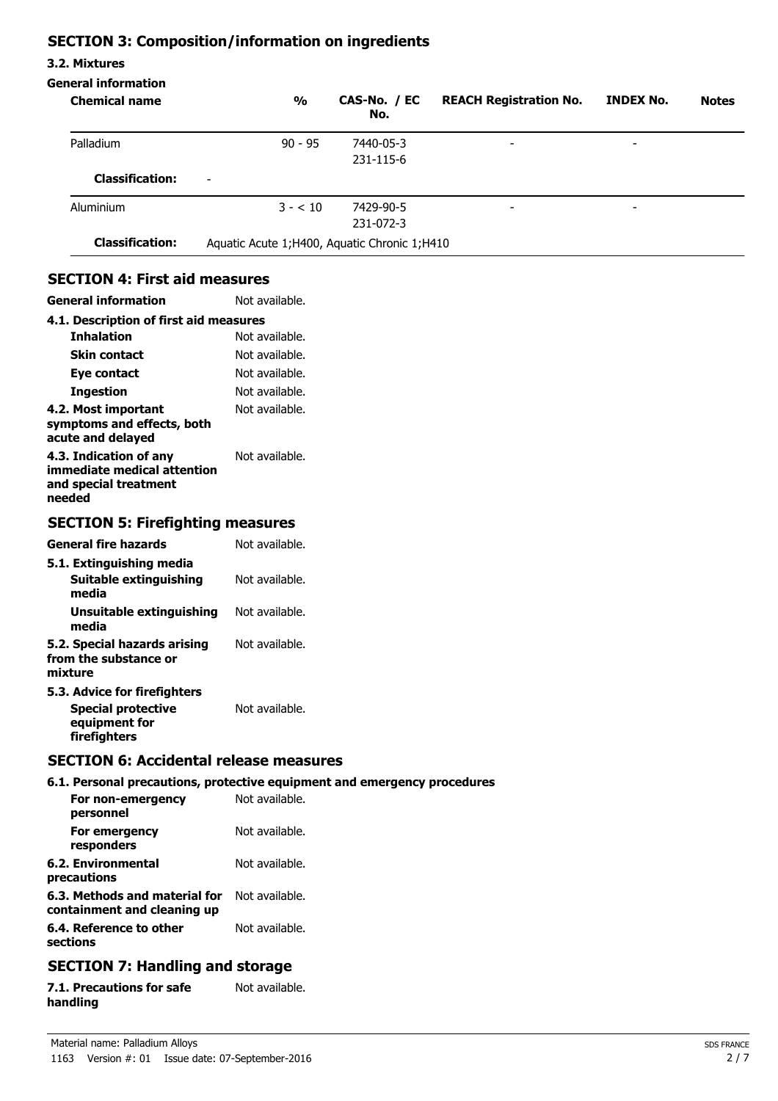### **SECTION 3: Composition/information on ingredients**

#### **3.2. Mixtures**

**needed**

#### **General information**

| <b>Chemical name</b>                                                                                             | $\frac{0}{0}$                                      | CAS-No. / EC<br>No. | <b>REACH Registration No.</b> | <b>INDEX No.</b> | <b>Notes</b> |
|------------------------------------------------------------------------------------------------------------------|----------------------------------------------------|---------------------|-------------------------------|------------------|--------------|
| Palladium                                                                                                        | $90 - 95$                                          | 7440-05-3           |                               |                  |              |
|                                                                                                                  |                                                    | 231-115-6           |                               |                  |              |
| <b>Classification:</b>                                                                                           |                                                    |                     |                               |                  |              |
| Aluminium                                                                                                        | $3 - 10$                                           | 7429-90-5           |                               |                  |              |
|                                                                                                                  |                                                    | 231-072-3           |                               |                  |              |
| <b>Classification:</b>                                                                                           | Aquatic Acute 1; H400, Aquatic Chronic 1; H410     |                     |                               |                  |              |
| <b>General information</b><br>4.1. Description of first aid measures<br><b>Inhalation</b><br><b>Skin contact</b> | Not available.<br>Not available.<br>Not available. |                     |                               |                  |              |
| Eye contact                                                                                                      | Not available.                                     |                     |                               |                  |              |
| <b>Ingestion</b>                                                                                                 | Not available.                                     |                     |                               |                  |              |
| 4.2. Most important<br>symptoms and effects, both<br>acute and delayed                                           | Not available.                                     |                     |                               |                  |              |
| 4.3. Indication of any<br>immediate medical attention<br>and special treatment                                   | Not available.                                     |                     |                               |                  |              |

#### **SECTION 5: Firefighting measures**

| <b>General fire hazards</b>                                                                | Not available. |
|--------------------------------------------------------------------------------------------|----------------|
| 5.1. Extinguishing media<br><b>Suitable extinguishing</b><br>media                         | Not available. |
| Unsuitable extinguishing<br>media                                                          | Not available. |
| 5.2. Special hazards arising<br>from the substance or<br>mixture                           | Not available. |
| 5.3. Advice for firefighters<br><b>Special protective</b><br>equipment for<br>firefighters | Not available. |

#### **SECTION 6: Accidental release measures**

#### **6.1. Personal precautions, protective equipment and emergency procedures**

| For non-emergency<br>personnel                               | Not available. |
|--------------------------------------------------------------|----------------|
| For emergency<br>responders                                  | Not available. |
| 6.2. Environmental<br>precautions                            | Not available. |
| 6.3. Methods and material for<br>containment and cleaning up | Not available. |
| 6.4. Reference to other<br>sections                          | Not available. |

### **SECTION 7: Handling and storage**

| 7.1. Precautions for safe | Not available. |
|---------------------------|----------------|
| handling                  |                |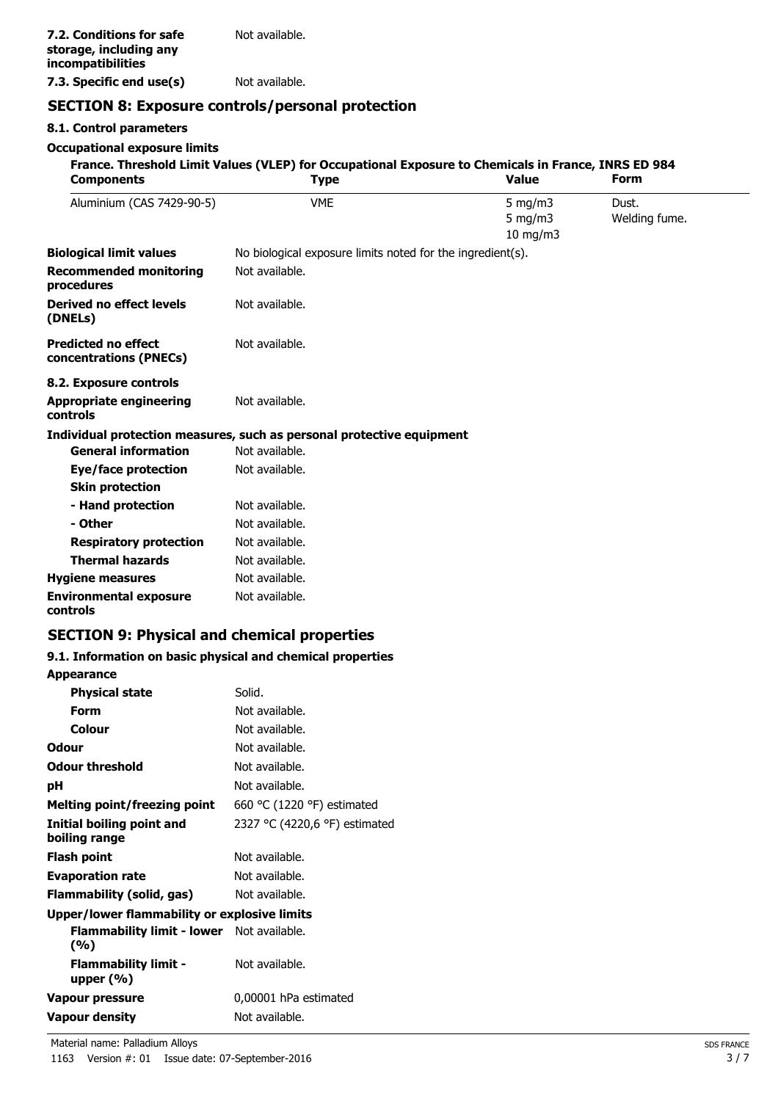**7.3. Specific end use(s)** Not available.

## **SECTION 8: Exposure controls/personal protection**

#### **8.1. Control parameters**

#### **Occupational exposure limits**

| <b>Components</b>                                    | <b>Type</b>                                                           | France. Threshold Limit Values (VLEP) for Occupational Exposure to Chemicals in France, INRS ED 984<br><b>Value</b> | <b>Form</b>            |
|------------------------------------------------------|-----------------------------------------------------------------------|---------------------------------------------------------------------------------------------------------------------|------------------------|
| Aluminium (CAS 7429-90-5)                            | <b>VME</b>                                                            | $5 \text{ mg/m}$<br>$5 \text{ mg/m}$<br>$10$ mg/m $3$                                                               | Dust.<br>Welding fume. |
| <b>Biological limit values</b>                       | No biological exposure limits noted for the ingredient(s).            |                                                                                                                     |                        |
| <b>Recommended monitoring</b><br>procedures          | Not available.                                                        |                                                                                                                     |                        |
| <b>Derived no effect levels</b><br>(DNELs)           | Not available.                                                        |                                                                                                                     |                        |
| <b>Predicted no effect</b><br>concentrations (PNECs) | Not available.                                                        |                                                                                                                     |                        |
| 8.2. Exposure controls                               |                                                                       |                                                                                                                     |                        |
| <b>Appropriate engineering</b><br><b>controls</b>    | Not available.                                                        |                                                                                                                     |                        |
|                                                      | Individual protection measures, such as personal protective equipment |                                                                                                                     |                        |
| <b>General information</b>                           | Not available.                                                        |                                                                                                                     |                        |
| <b>Eye/face protection</b>                           | Not available.                                                        |                                                                                                                     |                        |
| <b>Skin protection</b>                               |                                                                       |                                                                                                                     |                        |
| - Hand protection                                    | Not available.                                                        |                                                                                                                     |                        |
| - Other                                              | Not available.                                                        |                                                                                                                     |                        |
| <b>Respiratory protection</b>                        | Not available.                                                        |                                                                                                                     |                        |
| <b>Thermal hazards</b>                               | Not available.                                                        |                                                                                                                     |                        |
| <b>Hygiene measures</b>                              | Not available.                                                        |                                                                                                                     |                        |
| <b>Environmental exposure</b><br>controls            | Not available.                                                        |                                                                                                                     |                        |
| <b>SECTION 9: Physical and chemical properties</b>   |                                                                       |                                                                                                                     |                        |

#### **9.1. Information on basic physical and chemical properties**

#### **Appearance**

| <b>Physical state</b>                                   | Solid.                        |
|---------------------------------------------------------|-------------------------------|
| Form                                                    | Not available.                |
| Colour                                                  | Not available.                |
| Odour                                                   | Not available.                |
| <b>Odour threshold</b>                                  | Not available.                |
| рH                                                      | Not available.                |
| <b>Melting point/freezing point</b>                     | 660 °C (1220 °F) estimated    |
| <b>Initial boiling point and</b><br>boiling range       | 2327 °C (4220,6 °F) estimated |
| Flash point                                             | Not available.                |
| <b>Evaporation rate</b>                                 | Not available.                |
| <b>Flammability (solid, gas)</b>                        | Not available.                |
| Upper/lower flammability or explosive limits            |                               |
| <b>Flammability limit - lower</b> Not available.<br>(%) |                               |
| <b>Flammability limit -</b><br>upper $(\%)$             | Not available.                |
| Vapour pressure                                         | 0,00001 hPa estimated         |
| <b>Vapour density</b>                                   | Not available.                |
|                                                         |                               |

Material name: Palladium Alloys SDS FRANCE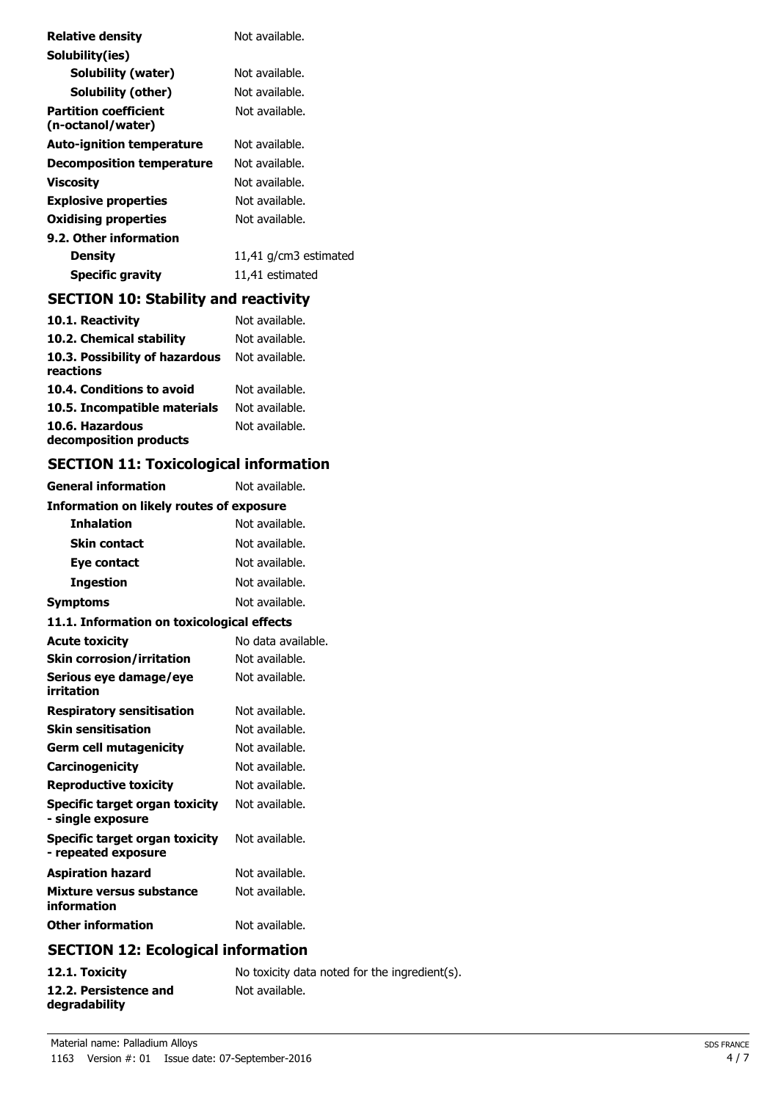| <b>Relative density</b>                           | Not available.        |
|---------------------------------------------------|-----------------------|
| Solubility(ies)                                   |                       |
| Solubility (water)                                | Not available.        |
| Solubility (other)                                | Not available.        |
| <b>Partition coefficient</b><br>(n-octanol/water) | Not available.        |
| <b>Auto-ignition temperature</b>                  | Not available.        |
| <b>Decomposition temperature</b>                  | Not available.        |
| Viscosity                                         | Not available.        |
| <b>Explosive properties</b>                       | Not available.        |
| Oxidising properties                              | Not available.        |
| 9.2. Other information                            |                       |
| Density                                           | 11,41 g/cm3 estimated |
| <b>Specific gravity</b>                           | 11,41 estimated       |

## **SECTION 10: Stability and reactivity**

| 10.1. Reactivity                            | Not available. |
|---------------------------------------------|----------------|
| 10.2. Chemical stability                    | Not available. |
| 10.3. Possibility of hazardous<br>reactions | Not available. |
| 10.4. Conditions to avoid                   | Not available. |
| 10.5. Incompatible materials                | Not available. |
| 10.6. Hazardous<br>decomposition products   | Not available. |

## **SECTION 11: Toxicological information**

| <b>General information</b>                            | Not available.                |
|-------------------------------------------------------|-------------------------------|
| Information on likely routes of exposure              |                               |
| <b>Inhalation</b>                                     | Not available.                |
| <b>Skin contact</b>                                   | Not available.                |
| Eye contact                                           | Not available.                |
| <b>Ingestion</b>                                      | Not available.                |
| <b>Symptoms</b>                                       | Not available.                |
| 11.1. Information on toxicological effects            |                               |
| <b>Acute toxicity</b>                                 | No data available.            |
| <b>Skin corrosion/irritation</b>                      | Not available.                |
| Serious eye damage/eye<br>irritation                  | Not available.                |
| <b>Respiratory sensitisation</b>                      | Not available.                |
| <b>Skin sensitisation</b>                             | Not available.                |
| <b>Germ cell mutagenicity</b>                         | Not available.                |
| Carcinogenicity                                       | Not available.                |
| <b>Reproductive toxicity</b>                          | Not available.                |
| Specific target organ toxicity<br>- single exposure   | Not available.                |
| Specific target organ toxicity<br>- repeated exposure | Not available.                |
| <b>Aspiration hazard</b>                              | Not available.                |
| Mixture versus substance<br>information               | Not available.                |
| <b>Other information</b>                              | Not available.                |
| .<br>CECTION 19. E.J.                                 | والمستحدث والمتاريخ والمتاريخ |

### **SECTION 12: Ecological information**

| 12.1. Toxicity                         | No toxicity data noted for the ingredient(s). |
|----------------------------------------|-----------------------------------------------|
| 12.2. Persistence and<br>degradability | Not available.                                |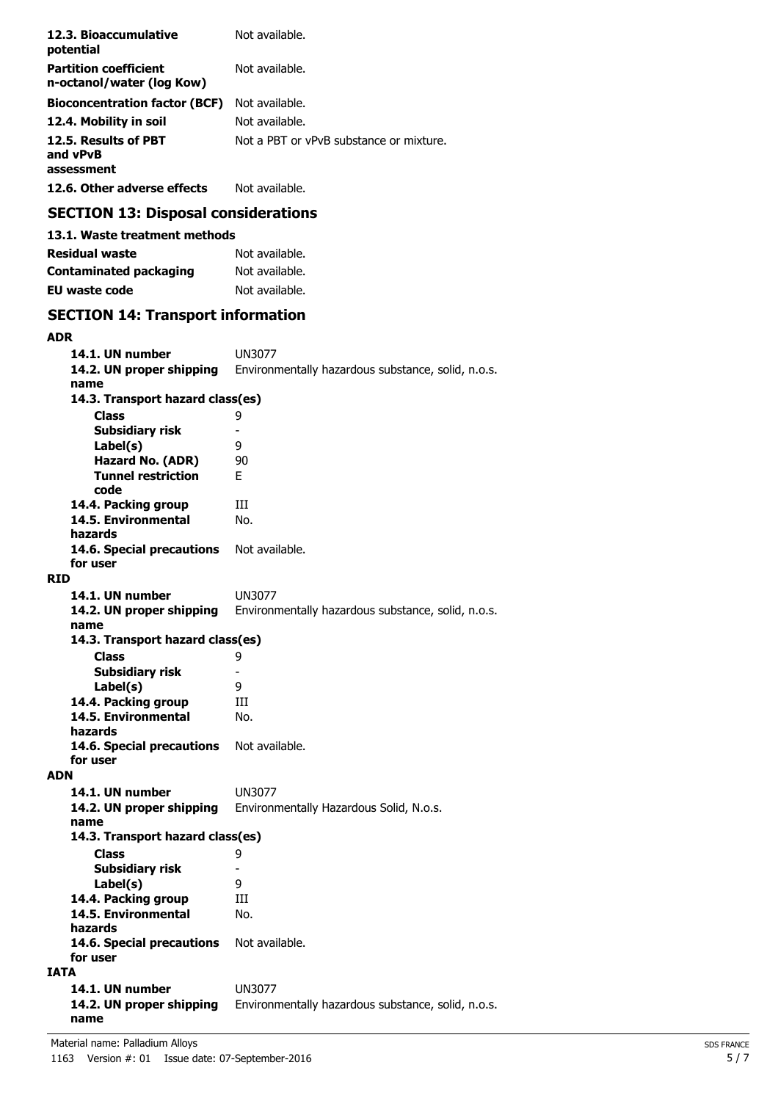| 12.3. Bioaccumulative<br>potential                        | Not available.                          |
|-----------------------------------------------------------|-----------------------------------------|
| <b>Partition coefficient</b><br>n-octanol/water (log Kow) | Not available.                          |
| <b>Bioconcentration factor (BCF)</b>                      | Not available.                          |
| 12.4. Mobility in soil                                    | Not available.                          |
| 12.5. Results of PBT<br>and vPvB<br>assessment            | Not a PBT or vPvB substance or mixture. |
| 12.6. Other adverse effects                               | Not available.                          |

## **SECTION 13: Disposal considerations**

| 13.1. Waste treatment methods |                |
|-------------------------------|----------------|
| Residual waste                | Not available. |
| <b>Contaminated packaging</b> | Not available. |
| EU waste code                 | Not available. |

## **SECTION 14: Transport information**

| <b>ADR</b>                            |                                                    |  |
|---------------------------------------|----------------------------------------------------|--|
| 14.1. UN number                       | UN3077                                             |  |
| 14.2. UN proper shipping<br>name      | Environmentally hazardous substance, solid, n.o.s. |  |
| 14.3. Transport hazard class(es)      |                                                    |  |
| <b>Class</b>                          | 9                                                  |  |
| <b>Subsidiary risk</b>                | $\overline{\phantom{0}}$                           |  |
| Label(s)                              | 9                                                  |  |
| Hazard No. (ADR)                      | 90                                                 |  |
| <b>Tunnel restriction</b>             | F.                                                 |  |
| code                                  |                                                    |  |
| 14.4. Packing group                   | Ш                                                  |  |
| 14.5. Environmental                   | No.                                                |  |
| hazards                               |                                                    |  |
| 14.6. Special precautions             | Not available.                                     |  |
| for user                              |                                                    |  |
| RID                                   |                                                    |  |
| 14.1. UN number                       | <b>UN3077</b>                                      |  |
| 14.2. UN proper shipping              | Environmentally hazardous substance, solid, n.o.s. |  |
| name                                  |                                                    |  |
| 14.3. Transport hazard class(es)      |                                                    |  |
| Class                                 | 9                                                  |  |
| <b>Subsidiary risk</b>                | $\overline{\phantom{0}}$                           |  |
| Label(s)                              | 9                                                  |  |
| 14.4. Packing group                   | Ш                                                  |  |
| 14.5. Environmental                   | No.                                                |  |
| hazards                               | Not available.                                     |  |
| 14.6. Special precautions<br>for user |                                                    |  |
| <b>ADN</b>                            |                                                    |  |
| 14.1. UN number                       | UN3077                                             |  |
| 14.2. UN proper shipping              | Environmentally Hazardous Solid, N.o.s.            |  |
| name                                  |                                                    |  |
| 14.3. Transport hazard class(es)      |                                                    |  |
| <b>Class</b>                          | 9                                                  |  |
| <b>Subsidiary risk</b>                | -                                                  |  |
| Label(s)                              | 9                                                  |  |
| 14.4. Packing group                   | Ш                                                  |  |
| 14.5. Environmental                   | No.                                                |  |
| hazards                               |                                                    |  |
| 14.6. Special precautions             | Not available.                                     |  |
| for user                              |                                                    |  |
| IATA                                  |                                                    |  |
| 14.1. UN number                       | <b>UN3077</b>                                      |  |
| 14.2. UN proper shipping              | Environmentally hazardous substance, solid, n.o.s. |  |
| name                                  |                                                    |  |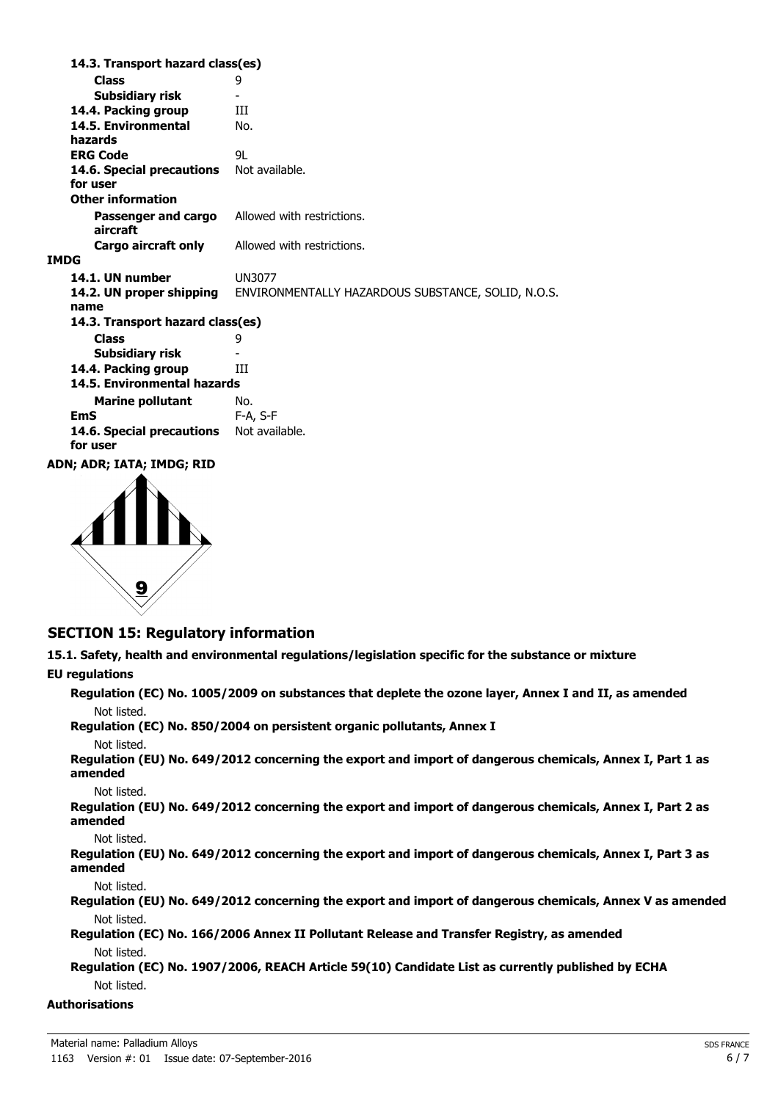**Class** 9 **14.3. Transport hazard class(es) Subsidiary risk 14.4. Packing group III 14.5. Environmental** No. **hazards ERG Code** 9L 14.6. Special precautions Not available. **for user Passenger and cargo** Allowed with restrictions. **aircraft Other information Cargo aircraft only** Allowed with restrictions. **IMDG 14.1. UN number** UN3077 **14.2. UN proper shipping** ENVIRONMENTALLY HAZARDOUS SUBSTANCE, SOLID, N.O.S. **name Class** 9 **14.3. Transport hazard class(es) Subsidiary risk 14.4. Packing group III Marine pollutant** No. **14.5. Environmental hazards EmS** F-A, S-F 14.6. Special precautions Not available. **for user ADN; ADR; IATA; IMDG; RID**



### **SECTION 15: Regulatory information**

**15.1. Safety, health and environmental regulations/legislation specific for the substance or mixture**

#### **EU regulations**

**Regulation (EC) No. 1005/2009 on substances that deplete the ozone layer, Annex I and II, as amended** Not listed. **Regulation (EC) No. 850/2004 on persistent organic pollutants, Annex I** Not listed. **Regulation (EU) No. 649/2012 concerning the export and import of dangerous chemicals, Annex I, Part 1 as amended** Not listed. **Regulation (EU) No. 649/2012 concerning the export and import of dangerous chemicals, Annex I, Part 2 as amended** Not listed. **Regulation (EU) No. 649/2012 concerning the export and import of dangerous chemicals, Annex I, Part 3 as amended** Not listed. **Regulation (EU) No. 649/2012 concerning the export and import of dangerous chemicals, Annex V as amended** Not listed. **Regulation (EC) No. 166/2006 Annex II Pollutant Release and Transfer Registry, as amended** Not listed. **Regulation (EC) No. 1907/2006, REACH Article 59(10) Candidate List as currently published by ECHA** Not listed. **Authorisations**